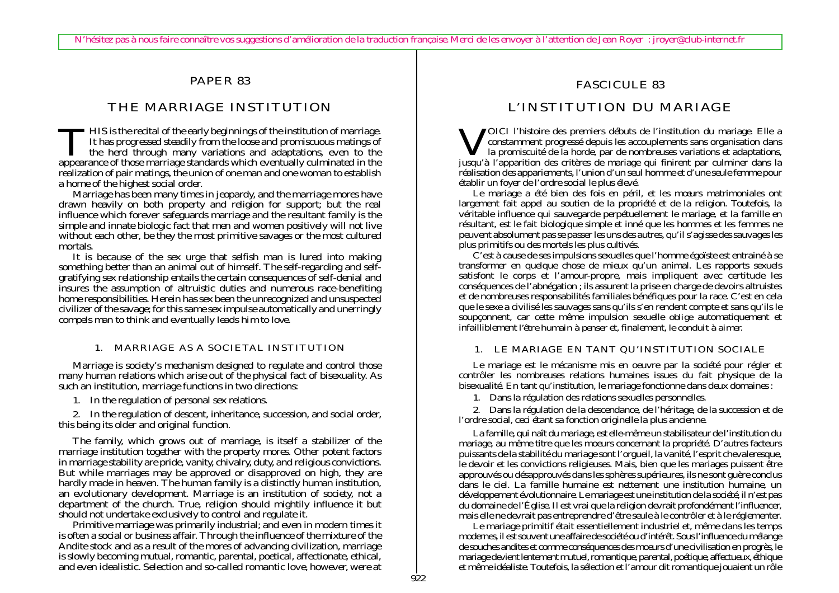## PAPER 83

# THE MARRIAGE INSTITUTION

THIS is the recital of the early beginnings of the institution of marriage. It has progressed steadily from the loose and promiscuous matings of the herd through many variations and adaptations, even to the appearance of those marriage standards which eventually culminated in the realization of pair matings, the union of one man and one woman to establish a home of the highest social order.

Marriage has been many times in jeopardy, and the marriage mores have drawn heavily on both property and religion for support; but the real influence which forever safeguards marriage and the resultant family is the simple and innate biologic fact that men and women positively will not live without each other, be they the most primitive savages or the most cultured mortals.

It is because of the sex urge that selfish man is lured into making something better than an animal out of himself. The self-regarding and selfgratifying sex relationship entails the certain consequences of self-denial and insures the assumption of altruistic duties and numerous race-benefiting home responsibilities. Herein has sex been the unrecognized and unsuspected civilizer of the savage; for this same sex impulse automatically and unerringly *compels man to think* and eventually *leads him to love.*

## 1. MARRIAGE AS A SOCIETAL INSTITUTION

Marriage is society's mechanism designed to regulate and control those many human relations which arise out of the physical fact of bisexuality. As such an institution, marriage functions in two directions:

1. In the regulation of personal sex relations.

2. In the regulation of descent, inheritance, succession, and social order, this being its older and original function.

The family, which grows out of marriage, is itself a stabilizer of the marriage institution together with the property mores. Other potent factors in marriage stability are pride, vanity, chivalry, duty, and religious convictions. But while marriages may be approved or disapproved on high, they are hardly made in heaven. The human family is a distinctly human institution, an evolutionary development. Marriage is an institution of society, not a department of the church. True, religion should mightily influence it but should not undertake exclusively to control and regulate it.

Primitive marriage was primarily industrial; and even in modern times it is often a social or business affair. Through the influence of the mixture of the Andite stock and as a result of the mores of advancing civilization, marriage is slowly becoming mutual, romantic, parental, poetical, affectionate, ethical, and even idealistic. Selection and so-called romantic love, however, were at

# FASCICULE 83

# L'INSTITUTION DU MARIAGE

VOICI l'histoire des premiers débuts de l'institution du mariage. Elle a constamment progressé depuis les accouplements sans organisation dans la promiscuité de la horde, par de nombreuses variations et adaptations, jusqu'à l'apparition des critères de mariage qui finirent par culminer dans la réalisation des appariements, l'union d'un seul homme et d'une seule femme pour établir un foyer de l'ordre social le plus élevé.

Le mariage a été bien des fois en péril, et les mœurs matrimoniales ont largement fait appel au soutien de la propriété et de la religion. Toutefois, la véritable influence qui sauvegarde perpétuellement le mariage, et la famille en résultant, est le fait biologique simple et inné que les hommes et les femmes ne peuvent absolument pas se passer les uns des autres, qu'il s'agisse des sauvages les plus primitifs ou des mortels les plus cultivés.

C'est à cause de ses impulsions sexuelles que l'homme égoïste est entrainé à se transformer en quelque chose de mieux qu'un animal. Les rapports sexuels satisfont le corps et l'amour-propre, mais impliquent avec certitude les conséquences de l'abnégation ; ils assurent la prise en charge de devoirs altruistes et de nombreuses responsabilités familiales bénéfiques pour la race. C'est en cela que le sexe a civilisé les sauvages sans qu'ils s'en rendent compte et sans qu'ils le soupçonnent, car cette même impulsion sexuelle *oblige* automatiquement et infailliblement *l'être humain à penser* et, finalement, *le conduit à aimer.*

## 1. LE MARIAGE EN TANT QU'INSTITUTION SOCIALE

Le mariage est le mécanisme mis en oeuvre par la société pour régler et contrôler les nombreuses relations humaines issues du fait physique de la bisexualité. En tant qu'institution, le mariage fonctionne dans deux domaines :

1. Dans la régulation des relations sexuelles personnelles.

2. Dans la régulation de la descendance, de l'héritage, de la succession et de l'ordre social, ceci étant sa fonction originelle la plus ancienne.

La famille, qui naît du mariage, est elle-même un stabilisateur de l'institution du mariage, au même titre que les moeurs concernant la propriété. D'autres facteurs puissants de la stabilité du mariage sont l'orgueil, la vanité, l'esprit chevaleresque, le devoir et les convictions religieuses. Mais, bien que les mariages puissent être approuvés ou désapprouvés dans les sphères supérieures, ils ne sont guère conclus dans le ciel. La famille humaine est nettement une institution humaine, un développement évolutionnaire. Le mariage est une institution de la société, il n'est pas du domaine de l'Église. Il est vrai que la religion devrait profondément l'influencer, mais elle ne devrait pas entreprendre d'être seule à le contrôler et à le réglementer.

Le mariage primitif était essentiellement industriel et, même dans les temps modernes, il est souvent une affaire de société ou d'intérêt. Sous l'influence du mélange de souches andites et comme conséquences des moeurs d'une civilisation en progrès, le mariage devient lentement mutuel, romantique, parental, poétique, affectueux, éthique et même idéaliste. Toutefois, la sélection et l'amour dit romantique jouaient un rôle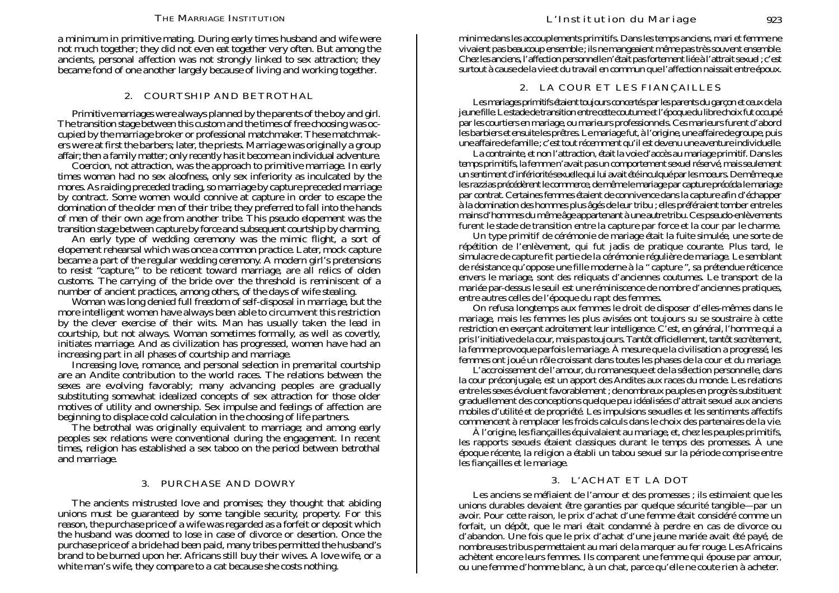a minimum in primitive mating. During early times husband and wife were not much together; they did not even eat together very often. But among the ancients, personal affection was not strongly linked to sex attraction; they became fond of one another largely because of living and working together.

#### 2. COURTSHIP AND BETROTHAL

Primitive marriages were always planned by the parents of the boy and girl. The transition stage between this custom and the times of free choosing was occupied by the marriage broker or professional matchmaker. These matchmakers were at first the barbers; later, the priests. Marriage was originally a group affair; then a family matter; only recently has it become an individual adventure.

Coercion, not attraction, was the approach to primitive marriage. In early times woman had no sex aloofness, only sex inferiority as inculcated by the mores. As raiding preceded trading, so marriage by capture preceded marriage by contract. Some women would connive at capture in order to escape the domination of the older men of their tribe; they preferred to fall into the hands of men of their own age from another tribe. This pseudo elopement was the transition stage between capture by force and subsequent courtship by charming.

An early type of wedding ceremony was the mimic flight, a sort of elopement rehearsal which was once a common practice. Later, mock capture became a part of the regular wedding ceremony. A modern girl's pretensions to resist "capture," to be reticent toward marriage, are all relics of olden customs. The carrying of the bride over the threshold is reminiscent of a number of ancient practices, among others, of the days of wife stealing.

Woman was long denied full freedom of self-disposal in marriage, but the more intelligent women have always been able to circumvent this restriction by the clever exercise of their wits. Man has usually taken the lead in courtship, but not always. Woman sometimes formally, as well as covertly, initiates marriage. And as civilization has progressed, women have had an increasing part in all phases of courtship and marriage.

Increasing love, romance, and personal selection in premarital courtship are an Andite contribution to the world races. The relations between the sexes are evolving favorably; many advancing peoples are gradually substituting somewhat idealized concepts of sex attraction for those older motives of utility and ownership. Sex impulse and feelings of affection are beginning to displace cold calculation in the choosing of life partners.

The betrothal was originally equivalent to marriage; and among early peoples sex relations were conventional during the engagement. In recent times, religion has established a sex taboo on the period between betrothal and marriage.

#### 3. PURCHASE AND DOWRY

The ancients mistrusted love and promises; they thought that abiding unions must be guaranteed by some tangible security, property. For this reason, the purchase price of a wife was regarded as a forfeit or deposit which the husband was doomed to lose in case of divorce or desertion. Once the purchase price of a bride had been paid, many tribes permitted the husband's brand to be burned upon her. Africans still buy their wives. A love wife, or a white man's wife, they compare to a cat because she costs nothing.

## L'Institution du Mariage 923

minime dans les accouplements primitifs. Dans les temps anciens, mari et femme ne vivaient pas beaucoup ensemble ; ils ne mangeaient même pas très souvent ensemble. Chez les anciens, l'affection personnelle n'était pas fortement liée à l'attrait sexuel ; c'est surtout à cause de la vie et du travail en commun que l'affection naissait entre époux.

#### 2. LA COUR ET LES FIANÇAILLES

Les mariages primitifs étaient toujours concertés par les parents du garçon et ceux de la jeune fille. Le stade de transition entre cette coutume et l'époque du libre choix fut occupé par les courtiers en mariage, ou marieurs professionnels. Ces marieurs furent d'abord les barbiers et ensuite les prêtres. Le mariage fut, à l'origine, une affaire de groupe, puis une affaire de famille ; c'est tout récemment qu'il est devenu une aventure individuelle.

La contrainte, et non l'attraction, était la voie d'accès au mariage primitif. Dans les temps primitifs, la femme n'avait pas un comportement sexuel réservé, mais seulement un sentiment d'infériorité sexuelle qui lui avait été inculqué par les moeurs. De même que les razzias précédèrent le commerce, de même le mariage par capture précéda le mariage par contrat. Certaines femmes étaient de connivence dans la capture afin d'échapper à la domination des hommes plus âgés de leur tribu ; elles préféraient tomber entre les mains d'hommes du même âge appartenant à une autre tribu. Ces pseudo-enlèvements furent le stade de transition entre la capture par force et la cour par le charme.

Un type primitif de cérémonie de mariage était la fuite simulée, une sorte de répétition de l'enlèvement, qui fut jadis de pratique courante. Plus tard, le simulacre de capture fit partie de la cérémonie régulière de mariage. Le semblant de résistance qu'oppose une fille moderne à la " capture ", sa prétendue réticence envers le mariage, sont des reliquats d'anciennes coutumes. Le transport de la mariée par-dessus le seuil est une réminiscence de nombre d'anciennes pratiques, entre autres celles de l'époque du rapt des femmes.

On refusa longtemps aux femmes le droit de disposer d'elles-mêmes dans le mariage, mais les femmes les plus avisées ont toujours su se soustraire à cette restriction en exerçant adroitement leur intelligence. C'est, en général, l'homme qui a pris l'initiative de la cour, mais pas toujours. Tantôt officiellement, tantôt secrètement, la femme provoque parfois le mariage. À mesure que la civilisation a progressé, les femmes ont joué un rôle croissant dans toutes les phases de la cour et du mariage.

L'accroissement de l'amour, du romanesque et de la sélection personnelle, dans la cour préconjugale, est un apport des Andites aux races du monde. Les relations entre les sexes évoluent favorablement ; de nombreux peuples en progrès substituent graduellement des conceptions quelque peu idéalisées d'attrait sexuel aux anciens mobiles d'utilité et de propriété. Les impulsions sexuelles et les sentiments affectifs

commencent à remplacer les froids calculs dans le choix des partenaires de la vie.<br>À l'origine, les fiançailles équivalaient au mariage, et, chez les peuples primitifs,<br>les rapports sexuels étaient classiques durant le tem époque récente, la religion a établi un tabou sexuel sur la période comprise entre les fiançailles et le mariage.

#### 3. L'ACHAT ET LA DOT

Les anciens se méfiaient de l'amour et des promesses ; ils estimaient que les unions durables devaient être garanties par quelque sécurité tangible—par un avoir. Pour cette raison, le prix d'achat d'une femme était considéré comme un forfait, un dépôt, que le mari était condamné à perdre en cas de divorce ou d'abandon. Une fois que le prix d'achat d'une jeune mariée avait été payé, de nombreuses tribus permettaient au mari de la marquer au fer rouge. Les Africains achètent encore leurs femmes. Ils comparent une femme qui épouse par amour, ou une femme d'homme blanc, à un chat, parce qu'elle ne coute rien à acheter.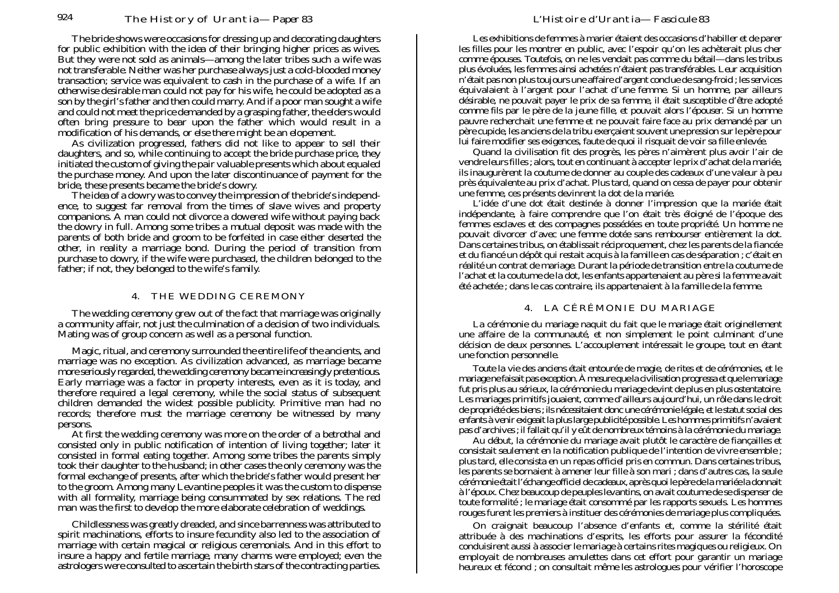The bride shows were occasions for dressing up and decorating daughters for public exhibition with the idea of their bringing higher prices as wives. But they were not sold as animals—among the later tribes such a wife was not transferable. Neither was her purchase always just a cold-blooded money transaction; service was equivalent to cash in the purchase of a wife. If an otherwise desirable man could not pay for his wife, he could be adopted as a son by the girl's father and then could marry. And if a poor man sought a wife and could not meet the price demanded by a grasping father, the elders would often bring pressure to bear upon the father which would result in a modification of his demands, or else there might be an elopement.

As civilization progressed, fathers did not like to appear to sell their daughters, and so, while continuing to accept the bride purchase price, they initiated the custom of giving the pair valuable presents which about equaled the purchase money. And upon the later discontinuance of payment for the bride, these presents became the bride's dowry.

The idea of a dowry was to convey the impression of the bride's independence, to suggest far removal from the times of slave wives and property companions. A man could not divorce a dowered wife without paying back the dowry in full. Among some tribes a mutual deposit was made with the parents of both bride and groom to be forfeited in case either deserted the other, in reality a marriage bond. During the period of transition from purchase to dowry, if the wife were purchased, the children belonged to the father; if not, they belonged to the wife's family.

#### 4. THE WEDDING CEREMONY

The wedding ceremony grew out of the fact that marriage was originally a community affair, not just the culmination of a decision of two individuals. Mating was of group concern as well as a personal function.

Magic, ritual, and ceremony surrounded the entire life of the ancients, and marriage was no exception. As civilization advanced, as marriage became more seriously regarded, the wedding ceremony became increasingly pretentious. Early marriage was a factor in property interests, even as it is today, and therefore required a legal ceremony, while the social status of subsequent children demanded the widest possible publicity. Primitive man had no records; therefore must the marriage ceremony be witnessed by many persons.

At first the wedding ceremony was more on the order of a betrothal and consisted only in public notification of intention of living together; later it consisted in formal eating together. Among some tribes the parents simply took their daughter to the husband; in other cases the only ceremony was the formal exchange of presents, after which the bride's father would present her to the groom. Among many Levantine peoples it was the custom to dispense with all formality, marriage being consummated by sex relations. The red man was the first to develop the more elaborate celebration of weddings.

Childlessness was greatly dreaded, and since barrenness was attributed to spirit machinations, efforts to insure fecundity also led to the association of marriage with certain magical or religious ceremonials. And in this effort to insure a happy and fertile marriage, many charms were employed; even the astrologers were consulted to ascertain the birth stars of the contracting parties.

Les exhibitions de femmes à marier étaient des occasions d'habiller et de parer les filles pour les montrer en public, avec l'espoir qu'on les achèterait plus cher comme épouses. Toutefois, on ne les vendait pas comme du bétail—dans les tribus plus évoluées, les femmes ainsi achetées n'étaient pas transférables. Leur acquisition <sup>n</sup>'était pas non plus toujours une affaire d'argent conclue de sang-froid ; les services équivalaient à l'argent pour l'achat d'une femme. Si un homme, par ailleurs désirable, ne pouvait payer le prix de sa femme, il était susceptible d'être adopté comme fils par le père de la jeune fille, et pouvait alors l'épouser. Si un homme pauvre recherchait une femme et ne pouvait faire face au prix demandé par un père cupide, les anciens de la tribu exerçaient souvent une pression sur le père pour lui faire modifier ses exigences, faute de quoi il risquait de voir sa fille enlevée.

Quand la civilisation fit des progrès, les pères n'aimèrent plus avoir l'air de vendre leurs filles ; alors, tout en continuant à accepter le prix d'achat de la mariée, ils inaugurèrent la coutume de donner au couple des cadeaux d'une valeur à peu près équivalente au prix d'achat. Plus tard, quand on cessa de payer pour obtenir une femme, ces présents devinrent la dot de la mariée.

L'idée d'une dot était destinée à donner l'impression que la mariée était indépendante, à faire comprendre que l'on était très éloigné de l'époque des femmes esclaves et des compagnes possédées en toute propriété. Un homme ne pouvait divorcer d'avec une femme dotée sans rembourser entièrement la dot. Dans certaines tribus, on établissait réciproquement, chez les parents de la fiancée et du fiancé un dépôt qui restait acquis à la famille en cas de séparation ; c'était en réalité un contrat de mariage. Durant la période de transition entre la coutume de l'achat et la coutume de la dot, les enfants appartenaient au père si la femme avait été achetée ; dans le cas contraire, ils appartenaient à la famille de la femme.

#### 4. LA CÉRÉMONIE DU MARIAGE

La cérémonie du mariage naquit du fait que le mariage était originellement une affaire de la communauté, et non simplement le point culminant d'une décision de deux personnes. L'accouplement intéressait le groupe, tout en étant une fonction personnelle.

Toute la vie des anciens était entourée de magie, de rites et de cérémonies, et le mariage ne faisait pas exception. À mesure que la civilisation progressa et que le mariage fut pris plus au sérieux, la cérémonie du mariage devint de plus en plus ostentatoire. Les mariages primitifs jouaient, comme d'ailleurs aujourd'hui, un rôle dans le droit de propriété des biens ; ils nécessitaient donc une cérémonie légale, et le statut social des enfants à venir exigeait la plus large publicité possible. Les hommes primitifs n'avaient pas d'archives ; il fallait qu'il y eût de nombreux témoins à la cérémonie du mariage.

Au début, la cérémonie du mariage avait plutôt le caractère de fiançailles et consistait seulement en la notification publique de l'intention de vivre ensemble ; plus tard, elle consista en un repas officiel pris en commun. Dans certaines tribus, les parents se bornaient à amener leur fille à son mari ; dans d'autres cas, la seule cérémonie était l'échange officiel de cadeaux, après quoi le père de la mariée la donnait à l'époux. Chez beaucoup de peuples levantins, on avait coutume de se dispenser de toute formalité ; le mariage était consommé par les rapports sexuels. Les hommes rouges furent les premiers à instituer des cérémonies de mariage plus compliquées.

On craignait beaucoup l'absence d'enfants et, comme la stérilité était attribuée à des machinations d'esprits, les efforts pour assurer la fécondité conduisirent aussi à associer le mariage à certains rites magiques ou religieux. On employait de nombreuses amulettes dans cet effort pour garantir un mariage heureux et fécond ; on consultait même les astrologues pour vérifier l'horoscope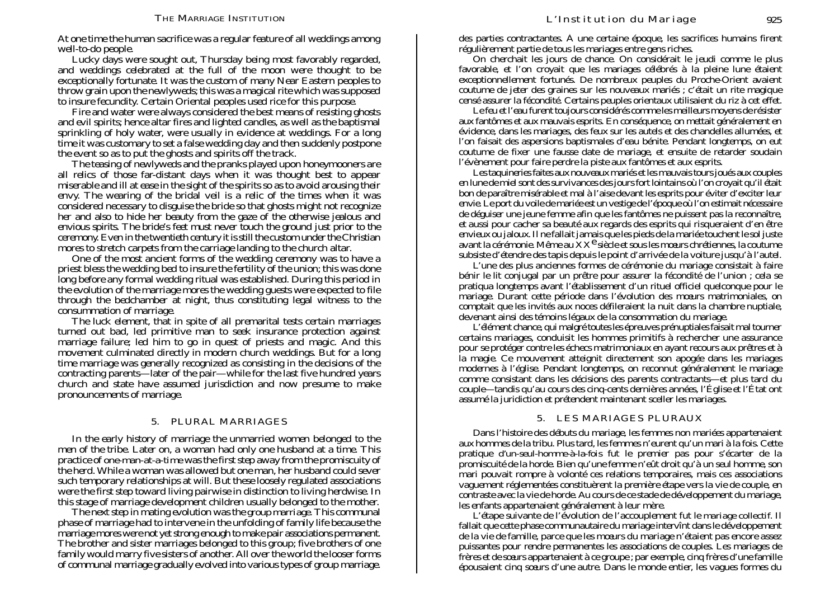At one time the human sacrifice was a regular feature of all weddings among well-to-do people.

Lucky days were sought out, Thursday being most favorably regarded, and weddings celebrated at the full of the moon were thought to be exceptionally fortunate. It was the custom of many Near Eastern peoples to throw grain upon the newlyweds; this was a magical rite which was supposed to insure fecundity. Certain Oriental peoples used rice for this purpose.

Fire and water were always considered the best means of resisting ghosts and evil spirits; hence altar fires and lighted candles, as well as the baptismal sprinkling of holy water, were usually in evidence at weddings. For a long time it was customary to set a false wedding day and then suddenly postpone the event so as to put the ghosts and spirits off the track.

The teasing of newlyweds and the pranks played upon honeymooners are all relics of those far-distant days when it was thought best to appear miserable and ill at ease in the sight of the spirits so as to avoid arousing their envy. The wearing of the bridal veil is a relic of the times when it was considered necessary to disguise the bride so that ghosts might not recognize her and also to hide her beauty from the gaze of the otherwise jealous and envious spirits. The bride's feet must never touch the ground just prior to the ceremony. Even in the twentieth century it is still the custom under the Christian mores to stretch carpets from the carriage landing to the church altar.

One of the most ancient forms of the wedding ceremony was to have a priest bless the wedding bed to insure the fertility of the union; this was done long before any formal wedding ritual was established. During this period in the evolution of the marriage mores the wedding guests were expected to file through the bedchamber at night, thus constituting legal witness to the consummation of marriage.

The luck element, that in spite of all premarital tests certain marriages turned out bad, led primitive man to seek insurance protection against marriage failure; led him to go in quest of priests and magic. And this movement culminated directly in modern church weddings. But for a long time marriage was generally recognized as consisting in the decisions of the contracting parents—later of the pair—while for the last five hundred years church and state have assumed jurisdiction and now presume to make pronouncements of marriage.

#### 5. PLURAL MARRIAGES

In the early history of marriage the unmarried women belonged to the men of the tribe. Later on, a woman had only one husband at a time. This practice of *one-man-at-a-time* was the first step away from the promiscuity of the herd. While a woman was allowed but one man, her husband could sever such temporary relationships at will. But these loosely regulated associations were the first step toward living pairwise in distinction to living herdwise. In this stage of marriage development children usually belonged to the mother.

The next step in mating evolution was the *group marriage.* This communal phase of marriage had to intervene in the unfolding of family life because the marriage mores were not yet strong enough to make pair associations permanent. The brother and sister marriages belonged to this group; five brothers of one family would marry five sisters of another. All over the world the looser forms of communal marriage gradually evolved into various types of group marriage. des parties contractantes. À une certaine époque, les sacrifices humains firent régulièrement partie de tous les mariages entre gens riches.

On cherchait les jours de chance. On considérait le jeudi comme le plus favorable, et l'on croyait que les mariages célébrés à la pleine lune étaient exceptionnellement fortunés. De nombreux peuples du Proche-Orient avaient coutume de jeter des graines sur les nouveaux mariés ; c'était un rite magique censé assurer la fécondité. Certains peuples orientaux utilisaient du riz à cet effet.

Le feu et l'eau furent toujours considérés comme les meilleurs moyens de résister aux fantômes et aux mauvais esprits. En conséquence, on mettait généralement en évidence, dans les mariages, des feux sur les autels et des chandelles allumées, et l'on faisait des aspersions baptismales d'eau bénite. Pendant longtemps, on eut coutume de fixer une fausse date de mariage, et ensuite de retarder soudain l'évènement pour faire perdre la piste aux fantômes et aux esprits.

Les taquineries faites aux nouveaux mariés et les mauvais tours joués aux couples en lune de miel sont des survivances des jours fort lointains où l'on croyait qu'il était bon de paraître misérable et mal à l'aise devant les esprits pour éviter d'exciter leur envie. Le port du voile de mariée est un vestige de l'époque où l'on estimait nécessaire de déguiser une jeune femme afin que les fantômes ne puissent pas la reconnaître, et aussi pour cacher sa beauté aux regards des esprits qui risqueraient d'en être envieux ou jaloux. Il ne fallait jamais que les pieds de la mariée touchent le sol juste avant la cérémonie. Même au  $XX^e$  siècle et sous les mœurs chrétiennes, la coutume subsiste d'étendre des tapis depuis le point d'arrivée de la voiture jusqu'à l'autel.

L'une des plus anciennes formes de cérémonie du mariage consistait à faire bénir le lit conjugal par un prêtre pour assurer la fécondité de l'union ; cela se pratiqua longtemps avant l'établissement d'un rituel officiel quelconque pour le mariage. Durant cette période dans l'évolution des mœurs matrimoniales, on comptait que les invités aux noces défileraient la nuit dans la chambre nuptiale, devenant ainsi des témoins légaux de la consommation du mariage.

L'élément chance, qui malgré toutes les épreuves prénuptiales faisait mal tourner certains mariages, conduisit les hommes primitifs à rechercher une assurance pour se protéger contre les échecs matrimoniaux en ayant recours aux prêtres et à la magie. Ce mouvement atteignit directement son apogée dans les mariages modernes à l'église. Pendant longtemps, on reconnut généralement le mariage comme consistant dans les décisions des parents contractants—et plus tard du couple—tandis qu'au cours des cinq-cents dernières années, l'Église et l'État ont assumé la juridiction et prétendent maintenant sceller les mariages.

#### 5. LES MARIAGES PLURAUX

Dans l'histoire des débuts du mariage, les femmes non mariées appartenaient aux hommes de la tribu. Plus tard, les femmes n'eurent qu'un mari à la fois. Cette pratique *d'un-seul-homme-à-la-fois* fut le premier pas pour s'écarter de la promiscuité de la horde. Bien qu'une femme n'eût droit qu'à un seul homme, son mari pouvait rompre à volonté ces relations temporaires, mais ces associations vaguement réglementées constituèrent la première étape vers la vie de couple, en contraste avec la vie de horde. Au cours de ce stade de développement du mariage, les enfants appartenaient généralement à leur mère.

L'étape suivante de l'évolution de l'accouplement fut le *mariage collectif.* Il fallait que cette phase communautaire du mariage intervînt dans le développement de la vie de famille, parce que les mœurs du mariage n'étaient pas encore assez puissantes pour rendre permanentes les associations de couples. Les mariages de frères et de sœurs appartenaient à ce groupe ; par exemple, cinq frères d'une famille épousaient cinq sœurs d'une autre. Dans le monde entier, les vagues formes du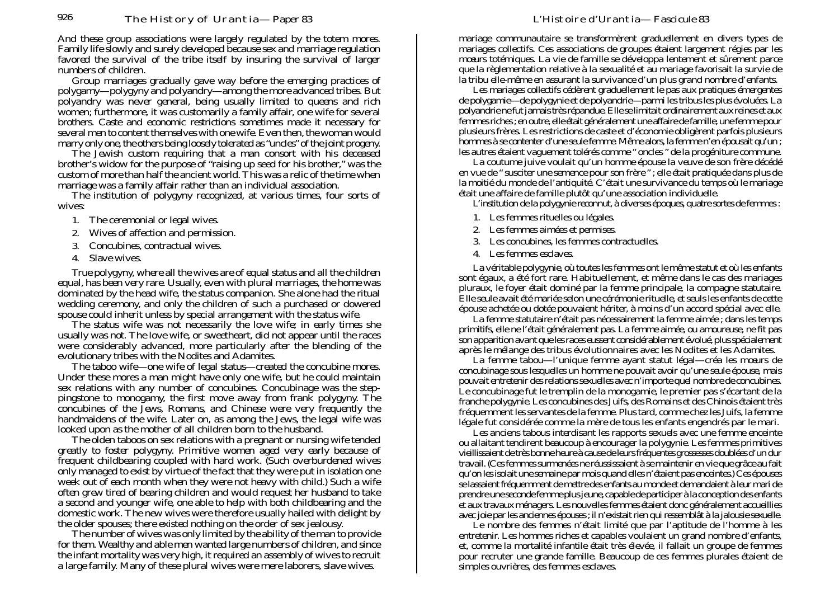And these group associations were largely regulated by the totem mores. Family life slowly and surely developed because sex and marriage regulation favored the survival of the tribe itself by insuring the survival of larger numbers of children.

Group marriages gradually gave way before the emerging practices of polygamy—polygyny and polyandry—among the more advanced tribes. But polyandry was never general, being usually limited to queens and rich women; furthermore, it was customarily a family affair, one wife for several brothers. Caste and economic restrictions sometimes made it necessary for several men to content themselves with one wife. Even then, the woman would marry only one, the others being loosely tolerated as "uncles" of the joint progeny.

The Jewish custom requiring that a man consort with his deceased brother's widow for the purpose of "raising up seed for his brother," was the custom of more than half the ancient world. This was a relic of the time when marriage was a family affair rather than an individual association.

The institution of polygyny recognized, at various times, four sorts of wives:

- 1. The ceremonial or legal wives.
- 2. Wives of affection and permission.
- 3. Concubines, contractual wives.
- 4. Slave wives.

True polygyny, where all the wives are of equal status and all the children equal, has been very rare. Usually, even with plural marriages, the home was dominated by the head wife, the status companion. She alone had the ritual wedding ceremony, and only the children of such a purchased or dowered spouse could inherit unless by special arrangement with the status wife.

The status wife was not necessarily the love wife; in early times she usually was not. The love wife, or sweetheart, did not appear until the races were considerably advanced, more particularly after the blending of the evolutionary tribes with the Nodites and Adamites.

The taboo wife—one wife of legal status—created the concubine mores. Under these mores a man might have only one wife, but he could maintain sex relations with any number of concubines. Concubinage was the steppingstone to monogamy, the first move away from frank polygyny. The concubines of the Jews, Romans, and Chinese were very frequently the handmaidens of the wife. Later on, as among the Jews, the legal wife was looked upon as the mother of all children born to the husband.

The olden taboos on sex relations with a pregnant or nursing wife tended greatly to foster polygyny. Primitive women aged very early because of frequent childbearing coupled with hard work. (Such overburdened wives only managed to exist by virtue of the fact that they were put in isolation one week out of each month when they were not heavy with child.) Such a wife often grew tired of bearing children and would request her husband to take a second and younger wife, one able to help with both childbearing and the domestic work. The new wives were therefore usually hailed with delight by the older spouses; there existed nothing on the order of sex jealousy.

The number of wives was only limited by the ability of the man to provide for them. Wealthy and able men wanted large numbers of children, and since the infant mortality was very high, it required an assembly of wives to recruit a large family. Many of these plural wives were mere laborers, slave wives.

mariage communautaire se transformèrent graduellement en divers types de mariages collectifs. Ces associations de groupes étaient largement régies par les mœurs totémiques. La vie de famille se développa lentement et sûrement parce que la règlementation relative à la sexualité et au mariage favorisait la survie de la tribu elle-même en assurant la survivance d'un plus grand nombre d'enfants.

Les mariages collectifs cédèrent graduellement le pas aux pratiques émergentes de polygamie—de polygynie et de polyandrie—parmi les tribus les plus évoluées. La polyandrie ne fut jamais très répandue. Elle se limitait ordinairement aux reines et aux femmes riches ; en outre, elle était généralement une affaire de famille, une femme pour plusieurs frères. Les restrictions de caste et d'économie obligèrent parfois plusieurs hommes à se contenter d'une seule femme. Même alors, la femme n'en épousait qu'un ; les autres étaient vaguement tolérés comme " oncles " de la progéniture commune.

La coutume juive voulait qu'un homme épouse la veuve de son frère décédé en vue de " susciter une semence pour son frère " ; elle était pratiquée dans plus de la moitié du monde de l'antiquité. C'était une survivance du temps où le mariage était une affaire de famille plutôt qu'une association individuelle.

L'institution de la polygynie reconnut, à diverses époques, quatre sortes de femmes :

- 1. Les femmes rituelles ou légales.
- 2. Les femmes aimées et permises.
- 3. Les concubines, les femmes contractuelles.
- 4. Les femmes esclaves.

La véritable polygynie, où toutes les femmes ont le même statut et où les enfants sont égaux, a été fort rare. Habituellement, et même dans le cas des mariages pluraux, le foyer était dominé par la femme principale, la compagne statutaire. Elle seule avait été mariée selon une cérémonie rituelle, et seuls les enfants de cette épouse achetée ou dotée pouvaient hériter, à moins d'un accord spécial avec elle.

La femme statutaire n'était pas nécessairement la femme aimée ; dans les temps primitifs, elle ne l'était généralement pas. La femme aimée, ou amoureuse, ne fit pas son apparition avant que les races eussent considérablement évolué, plus spécialement après le mélange des tribus évolutionnaires avec les Nodites et les Adamites.

La femme tabou—l'unique femme ayant statut légal—créa les mœurs de concubinage sous lesquelles un homme ne pouvait avoir qu'une seule épouse, mais pouvait entretenir des relations sexuelles avec n'importe quel nombre de concubines. Le concubinage fut le tremplin de la monogamie, le premier pas s'écartant de la franche polygynie. Les concubines des Juifs, des Romains et des Chinois étaient très fréquemment les servantes de la femme. Plus tard, comme chez les Juifs, la femme légale fut considérée comme la mère de tous les enfants engendrés par le mari.

Les anciens tabous interdisant les rapports sexuels avec une femme enceinte ou allaitant tendirent beaucoup à encourager la polygynie. Les femmes primitives vieillissaient de très bonne heure à cause de leurs fréquentes grossesses doublées d'un dur travail. (Ces femmes surmenées ne réussissaient à se maintenir en vie que grâce au fait qu'on les isolait une semaine par mois quand elles n'étaient pas enceintes.) Ces épouses se lassaient fréquemment de mettre des enfants au monde et demandaient à leur mari de prendre une seconde femme plus jeune, capable de participer à la conception des enfants et aux travaux ménagers. Les nouvelles femmes étaient donc généralement accueillies avec joie par les anciennes épouses ; il n'existait rien qui ressemblât à la jalousie sexuelle.

Le nombre des femmes n'était limité que par l'aptitude de l'homme à les entretenir. Les hommes riches et capables voulaient un grand nombre d'enfants, et, comme la mortalité infantile était très élevée, il fallait un groupe de femmes pour recruter une grande famille. Beaucoup de ces femmes plurales étaient de simples ouvrières, des femmes esclaves.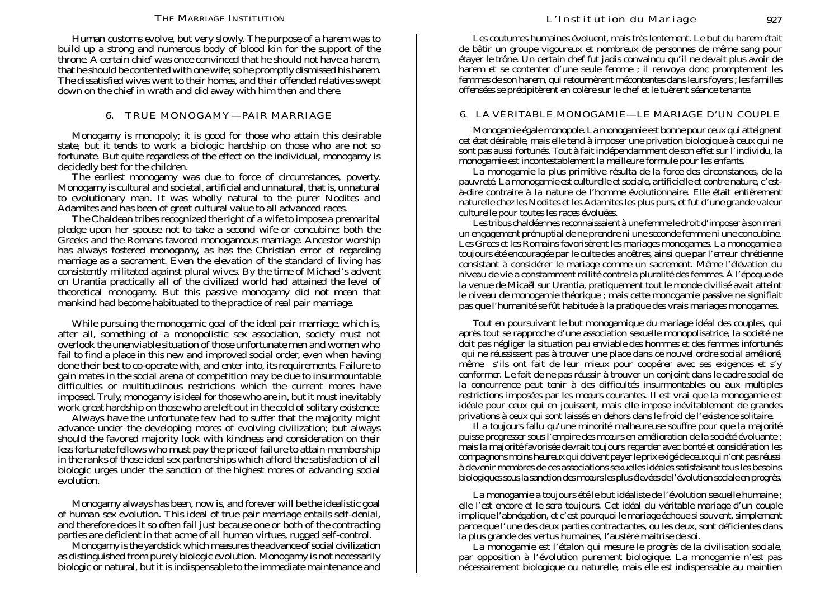Human customs evolve, but very slowly. The purpose of a harem was to build up a strong and numerous body of blood kin for the support of the throne. A certain chief was once convinced that he should not have a harem, that he should be contented with one wife; so he promptly dismissed his harem. The dissatisfied wives went to their homes, and their offended relatives swept down on the chief in wrath and did away with him then and there.

#### 6. TRUE MONOGAMY—PAIR MARRIAGE

Monogamy is monopoly; it is good for those who attain this desirable state, but it tends to work a biologic hardship on those who are not so fortunate. But quite regardless of the effect on the individual, monogamy is decidedly best for the children.

The earliest monogamy was due to force of circumstances, poverty. Monogamy is cultural and societal, artificial and unnatural, that is, unnatural to evolutionary man. It was wholly natural to the purer Nodites and Adamites and has been of great cultural value to all advanced races.

The Chaldean tribes recognized the right of a wife to impose a premarital pledge upon her spouse not to take a second wife or concubine; both the Greeks and the Romans favored monogamous marriage. Ancestor worship has always fostered monogamy, as has the Christian error of regarding marriage as a sacrament. Even the elevation of the standard of living has consistently militated against plural wives. By the time of Michael's advent on Urantia practically all of the civilized world had attained the level of theoretical monogamy. But this passive monogamy did not mean that mankind had become habituated to the practice of real pair marriage.

While pursuing the monogamic goal of the ideal pair marriage, which is, after all, something of a monopolistic sex association, society must not overlook the unenviable situation of those unfortunate men and women who fail to find a place in this new and improved social order, even when having done their best to co-operate with, and enter into, its requirements. Failure to gain mates in the social arena of competition may be due to insurmountable difficulties or multitudinous restrictions which the current mores have imposed. Truly, monogamy is ideal for those who are in, but it must inevitably work great hardship on those who are left out in the cold of solitary existence.

Always have the unfortunate few had to suffer that the majority might advance under the developing mores of evolving civilization; but always should the favored majority look with kindness and consideration on their less fortunate fellows who must pay the price of failure to attain membership in the ranks of those ideal sex partnerships which afford the satisfaction of all biologic urges under the sanction of the highest mores of advancing social evolution.

Monogamy always has been, now is, and forever will be the idealistic goal of human sex evolution. This ideal of true pair marriage entails self-denial, and therefore does it so often fail just because one or both of the contracting parties are deficient in that acme of all human virtues, rugged self-control.

Monogamy is the yardstick which measures the advance of social civilization as distinguished from purely biologic evolution. Monogamy is not necessarily biologic or natural, but it is indispensable to the immediate maintenance and

Les coutumes humaines évoluent, mais très lentement. Le but du harem était de bâtir un groupe vigoureux et nombreux de personnes de même sang pour étayer le trône. Un certain chef fut jadis convaincu qu'il ne devait plus avoir de harem et se contenter d'une seule femme ; il renvoya donc promptement les femmes de son harem, qui retournèrent mécontentes dans leurs foyers ; les familles offensées se précipitèrent en colère sur le chef et le tuèrent séance tenante.

#### 6. LA VÉRITABLE MONOGAMIE—LE MARIAGE D'UN COUPLE

Monogamie égale monopole. La monogamie est bonne pour ceux qui atteignent cet état désirable, mais elle tend à imposer une privation biologique à ceux qui ne sont pas aussi fortunés. Tout à fait indépendamment de son effet sur l'individu, la monogamie est incontestablement la meilleure formule pour les enfants.

La monogamie la plus primitive résulta de la force des circonstances, de la pauvreté. La monogamie est culturelle et sociale, artificielle et contre nature, c'està-dire contraire à la nature de l'homme évolutionnaire. Elle était entièrement naturelle chez les Nodites et les Adamites les plus purs, et fut d'une grande valeur culturelle pour toutes les races évoluées.

Les tribus chaldéennes reconnaissaient à une femme le droit d'imposer à son mari un engagement prénuptial de ne prendre ni une seconde femme ni une concubine. Les Grecs et les Romains favorisèrent les mariages monogames. La monogamie a toujours été encouragée par le culte des ancêtres, ainsi que par l'erreur chrétienne consistant à considérer le mariage comme un sacrement. Même l'élévation du niveau de vie a constamment milité contre la pluralité des femmes. À l'époque de la venue de Micaël sur Urantia, pratiquement tout le monde civilisé avait atteint le niveau de monogamie théorique ; mais cette monogamie passive ne signifiait pas que l'humanité se fût habituée à la pratique des vrais mariages monogames.

Tout en poursuivant le but monogamique du mariage idéal des couples, qui après tout se rapproche d'une association sexuelle monopolisatrice, la société ne doit pas négliger la situation peu enviable des hommes et des femmes infortunés qui ne réussissent pas à trouver une place dans ce nouvel ordre social amélioré, même s'ils ont fait de leur mieux pour coopérer avec ses exigences et s'y conformer. Le fait de ne pas réussir à trouver un conjoint dans le cadre social de la concurrence peut tenir à des difficultés insurmontables ou aux multiples restrictions imposées par les mœurs courantes. Il est vrai que la monogamie est idéale pour ceux qui en jouissent, mais elle impose inévitablement de grandes privations à ceux qui sont laissés en dehors dans le froid de l'existence solitaire.

Il a toujours fallu qu'une minorité malheureuse souffre pour que la majorité puisse progresser sous l'empire des mœurs en amélioration de la société évoluante ; mais la majorité favorisée devrait toujours regarder avec bonté et considération les compagnons moins heureux qui doivent payer le prix exigé de ceux qui n'ont pas réussi à devenir membres de ces associations sexuelles idéales satisfaisant tous les besoins biologiques sous la sanction des mœurs les plus élevées de l'évolution sociale en progrès.

La monogamie a toujours été le but idéaliste de l'évolution sexuelle humaine ; elle l'est encore et le sera toujours. Cet idéal du véritable mariage d'un couple implique l'abnégation, et c'est pourquoi le mariage échoue si souvent, simplement parce que l'une des deux parties contractantes, ou les deux, sont déficientes dans la plus grande des vertus humaines, l'austère maitrise de soi.

La monogamie est l'étalon qui mesure le progrès de la civilisation sociale, par opposition à l'évolution purement biologique. La monogamie n'est pas nécessairement biologique ou naturelle, mais elle est indispensable au maintien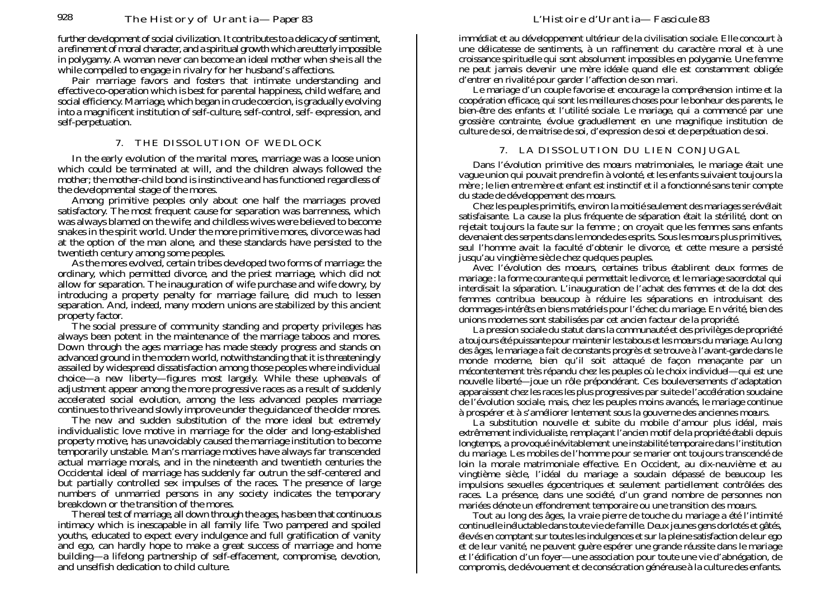further development of social civilization. It contributes to a delicacy of sentiment, a refinement of moral character, and a spiritual growth which are utterly impossible in polygamy. A woman never can become an ideal mother when she is all the while compelled to engage in rivalry for her husband's affections.

Pair marriage favors and fosters that intimate understanding and effective co-operation which is best for parental happiness, child welfare, and social efficiency. Marriage, which began in crude coercion, is gradually evolving into a magnificent institution of self-culture, self-control, self- expression, and self-perpetuation.

## 7. THE DISSOLUTION OF WEDLOCK

In the early evolution of the marital mores, marriage was a loose union which could be terminated at will, and the children always followed the mother; the mother-child bond is instinctive and has functioned regardless of the developmental stage of the mores.

Among primitive peoples only about one half the marriages proved satisfactory. The most frequent cause for separation was barrenness, which was always blamed on the wife; and childless wives were believed to become snakes in the spirit world. Under the more primitive mores, divorce was had at the option of the man alone, and these standards have persisted to the twentieth century among some peoples.

As the mores evolved, certain tribes developed two forms of marriage: the ordinary, which permitted divorce, and the priest marriage, which did not allow for separation. The inauguration of wife purchase and wife dowry, by introducing a property penalty for marriage failure, did much to lessen separation. And, indeed, many modern unions are stabilized by this ancient property factor.

The social pressure of community standing and property privileges has always been potent in the maintenance of the marriage taboos and mores. Down through the ages marriage has made steady progress and stands on advanced ground in the modern world, notwithstanding that it is threateningly assailed by widespread dissatisfaction among those peoples where individual choice—a new liberty—figures most largely. While these upheavals of adjustment appear among the more progressive races as a result of suddenly accelerated social evolution, among the less advanced peoples marriage continues to thrive and slowly improve under the guidance of the older mores.

The new and sudden substitution of the more ideal but extremely individualistic love motive in marriage for the older and long-established property motive, has unavoidably caused the marriage institution to become temporarily unstable. Man's marriage motives have always far transcended actual marriage morals, and in the nineteenth and twentieth centuries the Occidental ideal of marriage has suddenly far outrun the self-centered and but partially controlled sex impulses of the races. The presence of large numbers of unmarried persons in any society indicates the temporary breakdown or the transition of the mores.

The real test of marriage, all down through the ages, has been that continuous intimacy which is inescapable in all family life. Two pampered and spoiled youths, educated to expect every indulgence and full gratification of vanity and ego, can hardly hope to make a great success of marriage and home building—a lifelong partnership of self-effacement, compromise, devotion, and unselfish dedication to child culture.

immédiat et au développement ultérieur de la civilisation sociale. Elle concourt à une délicatesse de sentiments, à un raffinement du caractère moral et à une croissance spirituelle qui sont absolument impossibles en polygamie. Une femme ne peut jamais devenir une mère idéale quand elle est constamment obligée d'entrer en rivalité pour garder l'affection de son mari.

Le mariage d'un couple favorise et encourage la compréhension intime et la coopération efficace, qui sont les meilleures choses pour le bonheur des parents, le bien-être des enfants et l'utilité sociale. Le mariage, qui a commencé par une grossière contrainte, évolue graduellement en une magnifique institution de culture de soi, de maitrise de soi, d'expression de soi et de perpétuation de soi.

## 7. LA DISSOLUTION DU LIEN CONJUGAL

Dans l'évolution primitive des mœurs matrimoniales, le mariage était une vague union qui pouvait prendre fin à volonté, et les enfants suivaient toujours la mère ; le lien entre mère et enfant est instinctif et il a fonctionné sans tenir compte du stade de développement des mœurs.

Chez les peuples primitifs, environ la moitié seulement des mariages se révélait satisfaisante. La cause la plus fréquente de séparation était la stérilité, dont on rejetait toujours la faute sur la femme ; on croyait que les femmes sans enfants devenaient des serpents dans le monde des esprits. Sous les mœurs plus primitives, seul l'homme avait la faculté d'obtenir le divorce, et cette mesure a persisté jusqu'au vingtième siècle chez quelques peuples.

Avec l'évolution des moeurs, certaines tribus établirent deux formes de mariage : la forme courante qui permettait le divorce, et le mariage sacerdotal qui interdisait la séparation. L'inauguration de l'achat des femmes et de la dot des femmes contribua beaucoup à réduire les séparations en introduisant des dommages-intérêts en biens matériels pour l'échec du mariage. En vérité, bien des unions modernes sont stabilisées par cet ancien facteur de la propriété.

La pression sociale du statut dans la communauté et des privilèges de propriété a toujours été puissante pour maintenir les tabous et les mœurs du mariage. Au long des âges, le mariage a fait de constants progrès et se trouve à l'avant-garde dans le monde moderne, bien qu'il soit attaqué de façon menaçante par un mécontentement très répandu chez les peuples où le choix individuel—qui est une nouvelle liberté—joue un rôle prépondérant. Ces bouleversements d'adaptation apparaissent chez les races les plus progressives par suite de l'accélération soudaine de l'évolution sociale, mais, chez les peuples moins avancés, le mariage continue à prospérer et à s'améliorer lentement sous la gouverne des anciennes mœurs.

La substitution nouvelle et subite du mobile d'amour plus idéal, mais extrêmement individualiste, remplaçant l'ancien motif de la propriété établi depuis longtemps, a provoqué inévitablement une instabilité temporaire dans l'institution du mariage. Les mobiles de l'homme pour se marier ont toujours transcendé de loin la morale matrimoniale effective. En Occident, au dix-neuvième et au vingtième siècle, l'idéal du mariage a soudain dépassé de beaucoup les impulsions sexuelles égocentriques et seulement partiellement contrôlées des races. La présence, dans une société, d'un grand nombre de personnes non mariées dénote un effondrement temporaire ou une transition des mœurs.

Tout au long des âges, la vraie pierre de touche du mariage a été l'intimité continuelle inéluctable dans toute vie de famille. Deux jeunes gens dorlotés et gâtés, élevés en comptant sur toutes les indulgences et sur la pleine satisfaction de leur ego et de leur vanité, ne peuvent guère espérer une grande réussite dans le mariage et l'édification d'un foyer—une association pour toute une vie d'abnégation, de compromis, de dévouement et de consécration généreuse à la culture des enfants.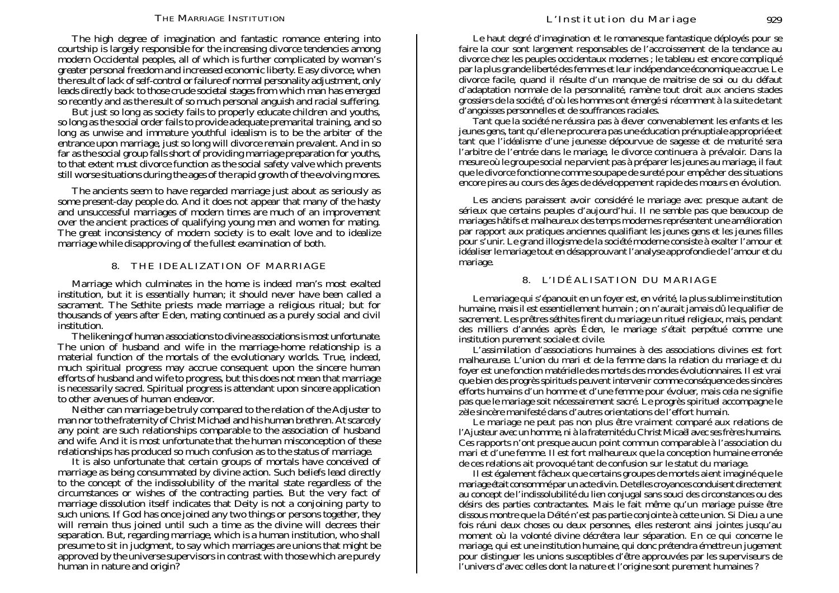The high degree of imagination and fantastic romance entering into courtship is largely responsible for the increasing divorce tendencies among modern Occidental peoples, all of which is further complicated by woman's greater personal freedom and increased economic liberty. Easy divorce, when the result of lack of self-control or failure of normal personality adjustment, only leads directly back to those crude societal stages from which man has emerged so recently and as the result of so much personal anguish and racial suffering.

But just so long as society fails to properly educate children and youths, so long as the social order fails to provide adequate premarital training, and so long as unwise and immature youthful idealism is to be the arbiter of the entrance upon marriage, just so long will divorce remain prevalent. And in so far as the social group falls short of providing marriage preparation for youths, to that extent must divorce function as the social safety valve which prevents still worse situations during the ages of the rapid growth of the evolving mores.

The ancients seem to have regarded marriage just about as seriously as some present-day people do. And it does not appear that many of the hasty and unsuccessful marriages of modern times are much of an improvement over the ancient practices of qualifying young men and women for mating. The great inconsistency of modern society is to exalt love and to idealize marriage while disapproving of the fullest examination of both.

#### 8. THE IDEALIZATION OF MARRIAGE

Marriage which culminates in the home is indeed man's most exalted institution, but it is essentially human; it should never have been called a sacrament. The Sethite priests made marriage a religious ritual; but for thousands of years after Eden, mating continued as a purely social and civil institution.

The likening of human associations to divine associations is most unfortunate. The union of husband and wife in the marriage-home relationship is a material function of the mortals of the evolutionary worlds. True, indeed, much spiritual progress may accrue consequent upon the sincere human efforts of husband and wife to progress, but this does not mean that marriage is necessarily sacred. Spiritual progress is attendant upon sincere application to other avenues of human endeavor.

Neither can marriage be truly compared to the relation of the Adjuster to man nor to the fraternity of Christ Michael and his human brethren. At scarcely any point are such relationships comparable to the association of husband and wife. And it is most unfortunate that the human misconception of these relationships has produced so much confusion as to the status of marriage.

It is also unfortunate that certain groups of mortals have conceived of marriage as being consummated by divine action. Such beliefs lead directly to the concept of the indissolubility of the marital state regardless of the circumstances or wishes of the contracting parties. But the very fact of marriage dissolution itself indicates that Deity is not a conjoining party to such unions. If God has once joined any two things or persons together, they will remain thus joined until such a time as the divine will decrees their separation. But, regarding marriage, which is a human institution, who shall presume to sit in judgment, to say which marriages are unions that might be approved by the universe supervisors in contrast with those which are purely human in nature and origin?

Le haut degré d'imagination et le romanesque fantastique déployés pour se faire la cour sont largement responsables de l'accroissement de la tendance au divorce chez les peuples occidentaux modernes ; le tableau est encore compliqué par la plus grande liberté des femmes et leur indépendance économique accrue. Le divorce facile, quand il résulte d'un manque de maitrise de soi ou du défaut d'adaptation normale de la personnalité, ramène tout droit aux anciens stades grossiers de la société, d'où les hommes ont émergé si récemment à la suite de tant d'angoisses personnelles et de souffrances raciales.

Tant que la société ne réussira pas à élever convenablement les enfants et les jeunes gens, tant qu'elle ne procurera pas une éducation prénuptiale appropriée et tant que l'idéalisme d'une jeunesse dépourvue de sagesse et de maturité sera l'arbitre de l'entrée dans le mariage, le divorce continuera à prévaloir. Dans la mesure où le groupe social ne parvient pas à préparer les jeunes au mariage, il faut que le divorce fonctionne comme soupape de sureté pour empêcher des situations encore pires au cours des âges de développement rapide des mœurs en évolution.

Les anciens paraissent avoir considéré le mariage avec presque autant de sérieux que certains peuples d'aujourd'hui. Il ne semble pas que beaucoup de mariages hâtifs et malheureux des temps modernes représentent une amélioration par rapport aux pratiques anciennes qualifiant les jeunes gens et les jeunes filles pour s'unir. Le grand illogisme de la société moderne consiste à exalter l'amour et idéaliser le mariage tout en désapprouvant l'analyse approfondie de l'amour et du mariage.

#### 8. L'IDÉALISATION DU MARIAGE

Le mariage qui s'épanouit en un foyer est, en vérité, la plus sublime institution humaine, mais il est essentiellement humain ; on n'aurait jamais dû le qualifier de sacrement. Les prêtres séthites firent du mariage un rituel religieux, mais, pendant des milliers d'années après Éden, le mariage s'était perpétué comme une institution purement sociale et civile.

L'assimilation d'associations humaines à des associations divines est fort malheureuse. L'union du mari et de la femme dans la relation du mariage et du foyer est une fonction matérielle des mortels des mondes évolutionnaires. Il est vrai que bien des progrès spirituels peuvent intervenir comme conséquence des sincères efforts humains d'un homme et d'une femme pour évoluer, mais cela ne signifie pas que le mariage soit nécessairement sacré. Le progrès spirituel accompagne le zèle sincère manifesté dans d'autres orientations de l'effort humain.

Le mariage ne peut pas non plus être vraiment comparé aux relations de l'Ajusteur avec un homme, ni à la fraternité du Christ Micaël avec ses frères humains. Ces rapports n'ont presque aucun point commun comparable à l'association du mari et d'une femme. Il est fort malheureux que la conception humaine erronée de ces relations ait provoqué tant de confusion sur le statut du mariage.

Il est également fâcheux que certains groupes de mortels aient imaginé que le mariage était consommé par un acte divin. De telles croyances conduisent directement au concept de l'indissolubilité du lien conjugal sans souci des circonstances ou des désirs des parties contractantes. Mais le fait même qu'un mariage puisse être dissous montre que la Déité n'est pas partie conjointe à cette union. Si Dieu a une fois réuni deux choses ou deux personnes, elles resteront ainsi jointes jusqu'au moment où la volonté divine décrétera leur séparation. En ce qui concerne le mariage, qui est une institution humaine, qui donc prétendra émettre un jugement pour distinguer les unions susceptibles d'être approuvées par les superviseurs de l'univers d'avec celles dont la nature et l'origine sont purement humaines ?